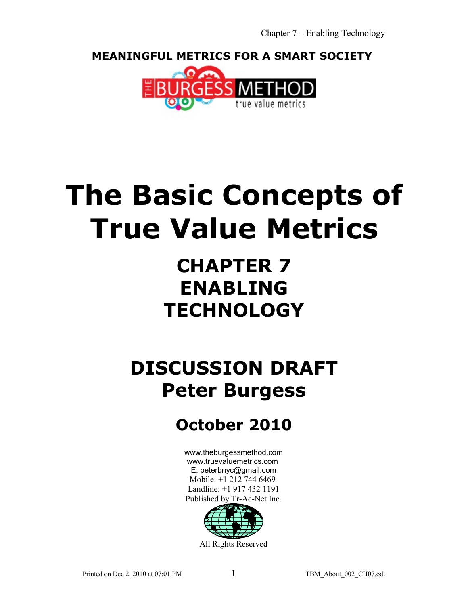**MEANINGFUL METRICS FOR A SMART SOCIETY** 



# **The Basic Concepts of True Value Metrics**

## **CHAPTER 7 ENABLING TECHNOLOGY**

## **DISCUSSION DRAFT Peter Burgess**

## **October 2010**

[www.theburgessmethod.com](http://www.theburgessmethod.com/) [www.truevaluemetrics.com](http://www.tr-ac-net.org/) E: peterbnyc@gmail.com Mobile: +1 212 744 6469 Landline: +1 917 432 1191 Published by Tr-Ac-Net Inc.

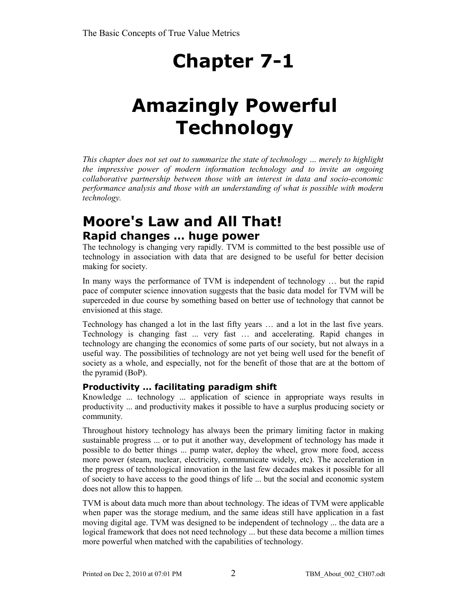## **Chapter 7-1**

## **Amazingly Powerful Technology**

*This chapter does not set out to summarize the state of technology … merely to highlight the impressive power of modern information technology and to invite an ongoing collaborative partnership between those with an interest in data and socio-economic performance analysis and those with an understanding of what is possible with modern technology.* 

## **Moore's Law and All That! Rapid changes … huge power**

The technology is changing very rapidly. TVM is committed to the best possible use of technology in association with data that are designed to be useful for better decision making for society.

In many ways the performance of TVM is independent of technology … but the rapid pace of computer science innovation suggests that the basic data model for TVM will be superceded in due course by something based on better use of technology that cannot be envisioned at this stage.

Technology has changed a lot in the last fifty years … and a lot in the last five years. Technology is changing fast ... very fast … and accelerating. Rapid changes in technology are changing the economics of some parts of our society, but not always in a useful way. The possibilities of technology are not yet being well used for the benefit of society as a whole, and especially, not for the benefit of those that are at the bottom of the pyramid (BoP).

## **Productivity ... facilitating paradigm shift**

Knowledge ... technology ... application of science in appropriate ways results in productivity ... and productivity makes it possible to have a surplus producing society or community.

Throughout history technology has always been the primary limiting factor in making sustainable progress ... or to put it another way, development of technology has made it possible to do better things ... pump water, deploy the wheel, grow more food, access more power (steam, nuclear, electricity, communicate widely, etc). The acceleration in the progress of technological innovation in the last few decades makes it possible for all of society to have access to the good things of life ... but the social and economic system does not allow this to happen.

TVM is about data much more than about technology. The ideas of TVM were applicable when paper was the storage medium, and the same ideas still have application in a fast moving digital age. TVM was designed to be independent of technology ... the data are a logical framework that does not need technology ... but these data become a million times more powerful when matched with the capabilities of technology.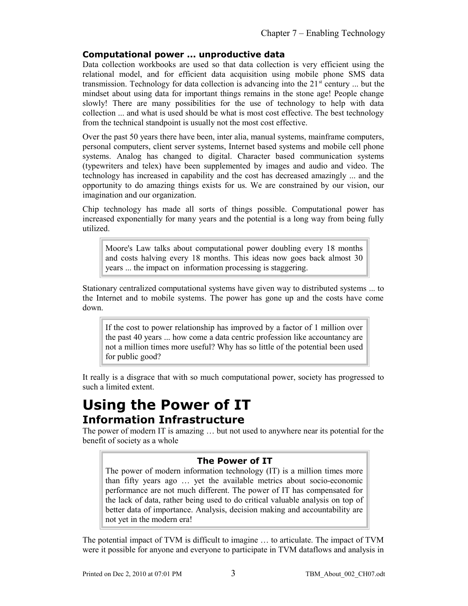### **Computational power ... unproductive data**

Data collection workbooks are used so that data collection is very efficient using the relational model, and for efficient data acquisition using mobile phone SMS data transmission. Technology for data collection is advancing into the  $21<sup>st</sup>$  century ... but the mindset about using data for important things remains in the stone age! People change slowly! There are many possibilities for the use of technology to help with data collection ... and what is used should be what is most cost effective. The best technology from the technical standpoint is usually not the most cost effective.

Over the past 50 years there have been, inter alia, manual systems, mainframe computers, personal computers, client server systems, Internet based systems and mobile cell phone systems. Analog has changed to digital. Character based communication systems (typewriters and telex) have been supplemented by images and audio and video. The technology has increased in capability and the cost has decreased amazingly ... and the opportunity to do amazing things exists for us. We are constrained by our vision, our imagination and our organization.

Chip technology has made all sorts of things possible. Computational power has increased exponentially for many years and the potential is a long way from being fully utilized.

Moore's Law talks about computational power doubling every 18 months and costs halving every 18 months. This ideas now goes back almost 30 years ... the impact on information processing is staggering.

Stationary centralized computational systems have given way to distributed systems ... to the Internet and to mobile systems. The power has gone up and the costs have come down.

If the cost to power relationship has improved by a factor of 1 million over the past 40 years ... how come a data centric profession like accountancy are not a million times more useful? Why has so little of the potential been used for public good?

It really is a disgrace that with so much computational power, society has progressed to such a limited extent.

## **Using the Power of IT Information Infrastructure**

The power of modern IT is amazing … but not used to anywhere near its potential for the benefit of society as a whole

## **The Power of IT**

The power of modern information technology (IT) is a million times more than fifty years ago … yet the available metrics about socio-economic performance are not much different. The power of IT has compensated for the lack of data, rather being used to do critical valuable analysis on top of better data of importance. Analysis, decision making and accountability are not yet in the modern era!

The potential impact of TVM is difficult to imagine … to articulate. The impact of TVM were it possible for anyone and everyone to participate in TVM dataflows and analysis in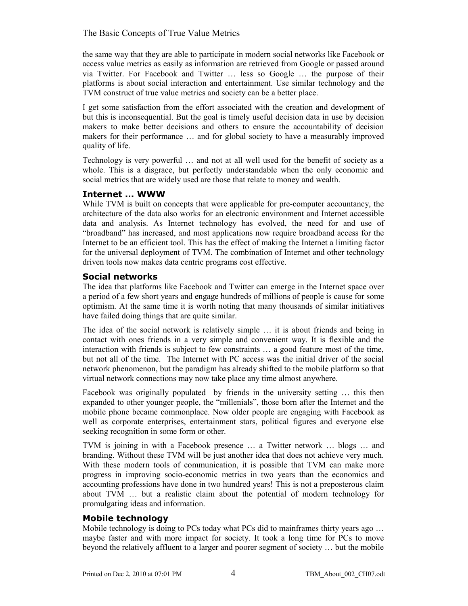the same way that they are able to participate in modern social networks like Facebook or access value metrics as easily as information are retrieved from Google or passed around via Twitter. For Facebook and Twitter … less so Google … the purpose of their platforms is about social interaction and entertainment. Use similar technology and the TVM construct of true value metrics and society can be a better place.

I get some satisfaction from the effort associated with the creation and development of but this is inconsequential. But the goal is timely useful decision data in use by decision makers to make better decisions and others to ensure the accountability of decision makers for their performance … and for global society to have a measurably improved quality of life.

Technology is very powerful … and not at all well used for the benefit of society as a whole. This is a disgrace, but perfectly understandable when the only economic and social metrics that are widely used are those that relate to money and wealth.

## **Internet ... WWW**

While TVM is built on concepts that were applicable for pre-computer accountancy, the architecture of the data also works for an electronic environment and Internet accessible data and analysis. As Internet technology has evolved, the need for and use of "broadband" has increased, and most applications now require broadband access for the Internet to be an efficient tool. This has the effect of making the Internet a limiting factor for the universal deployment of TVM. The combination of Internet and other technology driven tools now makes data centric programs cost effective.

### **Social networks**

The idea that platforms like Facebook and Twitter can emerge in the Internet space over a period of a few short years and engage hundreds of millions of people is cause for some optimism. At the same time it is worth noting that many thousands of similar initiatives have failed doing things that are quite similar.

The idea of the social network is relatively simple … it is about friends and being in contact with ones friends in a very simple and convenient way. It is flexible and the interaction with friends is subject to few constraints … a good feature most of the time, but not all of the time. The Internet with PC access was the initial driver of the social network phenomenon, but the paradigm has already shifted to the mobile platform so that virtual network connections may now take place any time almost anywhere.

Facebook was originally populated by friends in the university setting … this then expanded to other younger people, the "millenials", those born after the Internet and the mobile phone became commonplace. Now older people are engaging with Facebook as well as corporate enterprises, entertainment stars, political figures and everyone else seeking recognition in some form or other.

TVM is joining in with a Facebook presence … a Twitter network … blogs … and branding. Without these TVM will be just another idea that does not achieve very much. With these modern tools of communication, it is possible that TVM can make more progress in improving socio-economic metrics in two years than the economics and accounting professions have done in two hundred years! This is not a preposterous claim about TVM … but a realistic claim about the potential of modern technology for promulgating ideas and information.

## **Mobile technology**

Mobile technology is doing to PCs today what PCs did to mainframes thirty years ago ... maybe faster and with more impact for society. It took a long time for PCs to move beyond the relatively affluent to a larger and poorer segment of society … but the mobile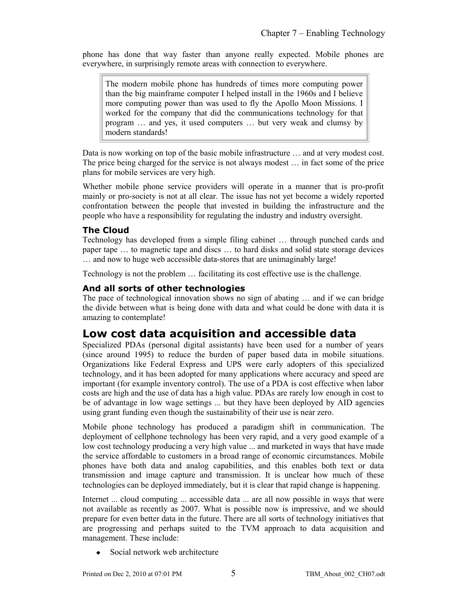phone has done that way faster than anyone really expected. Mobile phones are everywhere, in surprisingly remote areas with connection to everywhere.

The modern mobile phone has hundreds of times more computing power than the big mainframe computer I helped install in the 1960s and I believe more computing power than was used to fly the Apollo Moon Missions. I worked for the company that did the communications technology for that program … and yes, it used computers … but very weak and clumsy by modern standards!

Data is now working on top of the basic mobile infrastructure … and at very modest cost. The price being charged for the service is not always modest … in fact some of the price plans for mobile services are very high.

Whether mobile phone service providers will operate in a manner that is pro-profit mainly or pro-society is not at all clear. The issue has not yet become a widely reported confrontation between the people that invested in building the infrastructure and the people who have a responsibility for regulating the industry and industry oversight.

### **The Cloud**

Technology has developed from a simple filing cabinet … through punched cards and paper tape … to magnetic tape and discs … to hard disks and solid state storage devices … and now to huge web accessible data-stores that are unimaginably large!

Technology is not the problem … facilitating its cost effective use is the challenge.

#### **And all sorts of other technologies**

The pace of technological innovation shows no sign of abating … and if we can bridge the divide between what is being done with data and what could be done with data it is amazing to contemplate!

## **Low cost data acquisition and accessible data**

Specialized PDAs (personal digital assistants) have been used for a number of years (since around 1995) to reduce the burden of paper based data in mobile situations. Organizations like Federal Express and UPS were early adopters of this specialized technology, and it has been adopted for many applications where accuracy and speed are important (for example inventory control). The use of a PDA is cost effective when labor costs are high and the use of data has a high value. PDAs are rarely low enough in cost to be of advantage in low wage settings ... but they have been deployed by AID agencies using grant funding even though the sustainability of their use is near zero.

Mobile phone technology has produced a paradigm shift in communication. The deployment of cellphone technology has been very rapid, and a very good example of a low cost technology producing a very high value ... and marketed in ways that have made the service affordable to customers in a broad range of economic circumstances. Mobile phones have both data and analog capabilities, and this enables both text or data transmission and image capture and transmission. It is unclear how much of these technologies can be deployed immediately, but it is clear that rapid change is happening.

Internet ... cloud computing ... accessible data ... are all now possible in ways that were not available as recently as 2007. What is possible now is impressive, and we should prepare for even better data in the future. There are all sorts of technology initiatives that are progressing and perhaps suited to the TVM approach to data acquisition and management. These include:

Social network web architecture